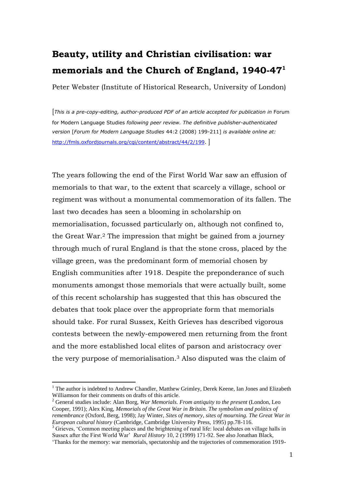## **Beauty, utility and Christian civilisation: war memorials and the Church of England, 1940-47<sup>1</sup>**

Peter Webster (Institute of Historical Research, University of London)

[*This is a pre-copy-editing, author-produced PDF of an article accepted for publication in* Forum for Modern Language Studies *following peer review. The definitive publisher-authenticated version* [*Forum for Modern Language Studies* 44:2 (2008) 199-211] *is available online at:*  [http://fmls.oxfordjournals.org/cgi/content/abstract/44/2/199.](http://fmls.oxfordjournals.org/cgi/content/abstract/44/2/199)

The years following the end of the First World War saw an effusion of memorials to that war, to the extent that scarcely a village, school or regiment was without a monumental commemoration of its fallen. The last two decades has seen a blooming in scholarship on memorialisation, focussed particularly on, although not confined to, the Great War.<sup>2</sup> The impression that might be gained from a journey through much of rural England is that the stone cross, placed by the village green, was the predominant form of memorial chosen by English communities after 1918. Despite the preponderance of such monuments amongst those memorials that were actually built, some of this recent scholarship has suggested that this has obscured the debates that took place over the appropriate form that memorials should take. For rural Sussex, Keith Grieves has described vigorous contests between the newly-empowered men returning from the front and the more established local elites of parson and aristocracy over the very purpose of memorialisation. <sup>3</sup> Also disputed was the claim of

<sup>&</sup>lt;sup>1</sup> The author is indebted to Andrew Chandler, Matthew Grimley, Derek Keene, Ian Jones and Elizabeth Williamson for their comments on drafts of this article.

<sup>2</sup> General studies include: Alan Borg, *War Memorials. From antiquity to the present* (London, Leo Cooper, 1991); Alex King, *Memorials of the Great War in Britain. The symbolism and politics of remembrance* (Oxford, Berg, 1998); Jay Winter, *Sites of memory, sites of mourning. The Great War in European cultural history* (Cambridge, Cambridge University Press, 1995) pp.78-116.

<sup>&</sup>lt;sup>3</sup> Grieves, 'Common meeting places and the brightening of rural life: local debates on village halls in Sussex after the First World War" *Rural History* 10, 2 (1999) 171-92. See also Jonathan Black, "Thanks for the memory: war memorials, spectatorship and the trajectories of commemoration 1919-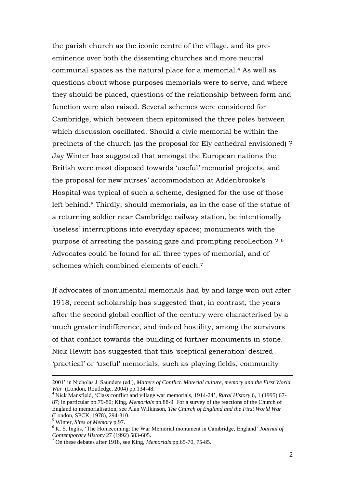the parish church as the iconic centre of the village, and its preeminence over both the dissenting churches and more neutral communal spaces as the natural place for a memorial. <sup>4</sup> As well as questions about whose purposes memorials were to serve, and where they should be placed, questions of the relationship between form and function were also raised. Several schemes were considered for Cambridge, which between them epitomised the three poles between which discussion oscillated. Should a civic memorial be within the precincts of the church (as the proposal for Ely cathedral envisioned) ? Jay Winter has suggested that amongst the European nations the British were most disposed towards 'useful' memorial projects, and the proposal for new nurses' accommodation at Addenbrooke's Hospital was typical of such a scheme, designed for the use of those left behind.<sup>5</sup> Thirdly, should memorials, as in the case of the statue of a returning soldier near Cambridge railway station, be intentionally "useless" interruptions into everyday spaces; monuments with the purpose of arresting the passing gaze and prompting recollection ? <sup>6</sup> Advocates could be found for all three types of memorial, and of schemes which combined elements of each.<sup>7</sup>

If advocates of monumental memorials had by and large won out after 1918, recent scholarship has suggested that, in contrast, the years after the second global conflict of the century were characterised by a much greater indifference, and indeed hostility, among the survivors of that conflict towards the building of further monuments in stone. Nick Hewitt has suggested that this "sceptical generation" desired "practical" or "useful" memorials, such as playing fields, community

<sup>2001&</sup>quot; in Nicholas J. Saunders (ed.), *Matters of Conflict. Material culture, memory and the First World War* (London, Routledge, 2004) pp.134-48.

<sup>4</sup> Nick Mansfield, "Class conflict and village war memorials, 1914-24", *Rural History* 6, 1 (1995) 67- 87; in particular pp.79-80; King, *Memorials* pp.88-9. For a survey of the reactions of the Church of England to memorialisation, see Alan Wilkinson, *The Church of England and the First World War* (London, SPCK, 1978), 294-310.

<sup>5</sup> Winter, *Sites of Memory* p.97.

<sup>6</sup> K. S. Inglis, "The Homecoming: the War Memorial monument in Cambridge, England" *Journal of Contemporary History* 27 (1992) 583-605.

<sup>7</sup> On these debates after 1918, see King, *Memorials* pp.65-70, 75-85.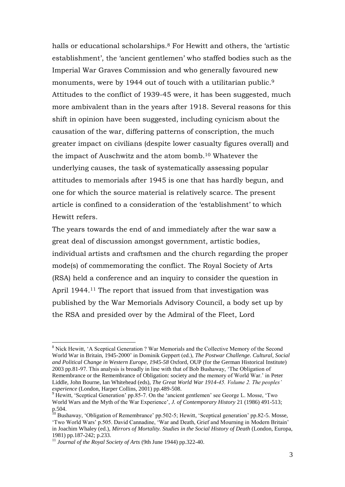halls or educational scholarships.<sup>8</sup> For Hewitt and others, the 'artistic establishment', the 'ancient gentlemen' who staffed bodies such as the Imperial War Graves Commission and who generally favoured new monuments, were by 1944 out of touch with a utilitarian public.<sup>9</sup> Attitudes to the conflict of 1939-45 were, it has been suggested, much more ambivalent than in the years after 1918. Several reasons for this shift in opinion have been suggested, including cynicism about the causation of the war, differing patterns of conscription, the much greater impact on civilians (despite lower casualty figures overall) and the impact of Auschwitz and the atom bomb. <sup>10</sup> Whatever the underlying causes, the task of systematically assessing popular attitudes to memorials after 1945 is one that has hardly begun, and one for which the source material is relatively scarce. The present article is confined to a consideration of the "establishment" to which Hewitt refers.

The years towards the end of and immediately after the war saw a great deal of discussion amongst government, artistic bodies, individual artists and craftsmen and the church regarding the proper mode(s) of commemorating the conflict. The Royal Society of Arts (RSA) held a conference and an inquiry to consider the question in April 1944.<sup>11</sup> The report that issued from that investigation was published by the War Memorials Advisory Council, a body set up by the RSA and presided over by the Admiral of the Fleet, Lord

<sup>&</sup>lt;sup>8</sup> Nick Hewitt, 'A Sceptical Generation ? War Memorials and the Collective Memory of the Second World War in Britain, 1945-2000" in Dominik Geppert (ed.), *The Postwar Challenge. Cultural, Social and Political Change in Western Europe, 1945-58* Oxford, OUP (for the German Historical Institute) 2003 pp.81-97. This analysis is broadly in line with that of Bob Bushaway, "The Obligation of Remembrance or the Remembrance of Obligation: society and the memory of World War." in Peter Liddle, John Bourne, Ian Whitehead (eds), *The Great World War 1914-45. Volume 2. The peoples' experience* (London, Harper Collins, 2001) pp.489-508.

<sup>&</sup>lt;sup>9</sup> Hewitt, 'Sceptical Generation' pp.85-7. On the 'ancient gentlemen' see George L. Mosse, 'Two World Wars and the Myth of the War Experience', *J. of Contemporary History* 21 (1986) 491-513; p.504.

<sup>&</sup>lt;sup>10</sup> Bushaway, 'Obligation of Remembrance' pp.502-5; Hewitt, 'Sceptical generation' pp.82-5. Mosse, "Two World Wars" p.505. David Cannadine, "War and Death, Grief and Mourning in Modern Britain" in Joachim Whaley (ed.), *Mirrors of Mortality. Studies in the Social History of Death* (London, Europa, 1981) pp.187-242; p.233.

<sup>11</sup> *Journal of the Royal Society of Arts* (9th June 1944) pp.322-40.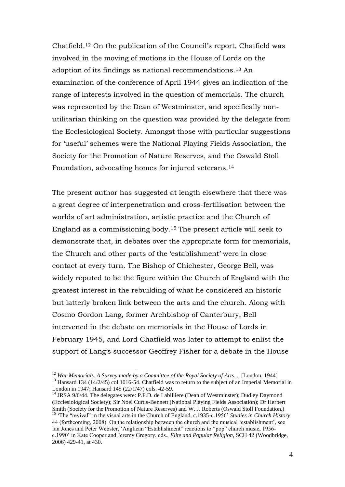Chatfield.<sup>12</sup> On the publication of the Council's report, Chatfield was involved in the moving of motions in the House of Lords on the adoption of its findings as national recommendations. <sup>13</sup> An examination of the conference of April 1944 gives an indication of the range of interests involved in the question of memorials. The church was represented by the Dean of Westminster, and specifically nonutilitarian thinking on the question was provided by the delegate from the Ecclesiological Society. Amongst those with particular suggestions for "useful" schemes were the National Playing Fields Association, the Society for the Promotion of Nature Reserves, and the Oswald Stoll Foundation, advocating homes for injured veterans.<sup>14</sup>

The present author has suggested at length elsewhere that there was a great degree of interpenetration and cross-fertilisation between the worlds of art administration, artistic practice and the Church of England as a commissioning body. <sup>15</sup> The present article will seek to demonstrate that, in debates over the appropriate form for memorials, the Church and other parts of the "establishment" were in close contact at every turn. The Bishop of Chichester, George Bell, was widely reputed to be the figure within the Church of England with the greatest interest in the rebuilding of what he considered an historic but latterly broken link between the arts and the church. Along with Cosmo Gordon Lang, former Archbishop of Canterbury, Bell intervened in the debate on memorials in the House of Lords in February 1945, and Lord Chatfield was later to attempt to enlist the support of Lang's successor Geoffrey Fisher for a debate in the House

<sup>12</sup> *War Memorials. A Survey made by a Committee of the Royal Society of Arts*.... [London, 1944]

<sup>&</sup>lt;sup>13</sup> Hansard 134 (14/2/45) col.1016-54. Chatfield was to return to the subject of an Imperial Memorial in London in 1947; Hansard 145 (22/1/47) cols. 42-59.

<sup>&</sup>lt;sup>14</sup> JRSA 9/6/44. The delegates were: P.F.D. de Labilliere (Dean of Westminster); Dudley Daymond (Ecclesiological Society); Sir Noel Curtis-Bennett (National Playing Fields Association); Dr Herbert Smith (Society for the Promotion of Nature Reserves) and W. J. Roberts (Oswald Stoll Foundation.) <sup>15</sup> 'The "revival" in the visual arts in the Church of England, c.1935-c.1956' *Studies in Church History* 44 (forthcoming, 2008). On the relationship between the church and the musical "establishment", see Ian Jones and Peter Webster, "Anglican "Establishment" reactions to "pop" church music, 1956 c.1990" in Kate Cooper and Jeremy Gregory, eds., *Elite and Popular Religion*, SCH 42 (Woodbridge, 2006) 429-41, at 430.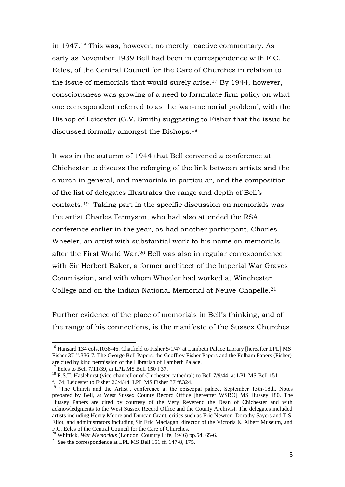in 1947.<sup>16</sup> This was, however, no merely reactive commentary. As early as November 1939 Bell had been in correspondence with F.C. Eeles, of the Central Council for the Care of Churches in relation to the issue of memorials that would surely arise.<sup>17</sup> By 1944, however, consciousness was growing of a need to formulate firm policy on what one correspondent referred to as the "war-memorial problem", with the Bishop of Leicester (G.V. Smith) suggesting to Fisher that the issue be discussed formally amongst the Bishops.<sup>18</sup>

It was in the autumn of 1944 that Bell convened a conference at Chichester to discuss the reforging of the link between artists and the church in general, and memorials in particular, and the composition of the list of delegates illustrates the range and depth of Bell"s contacts. <sup>19</sup> Taking part in the specific discussion on memorials was the artist Charles Tennyson, who had also attended the RSA conference earlier in the year, as had another participant, Charles Wheeler, an artist with substantial work to his name on memorials after the First World War. <sup>20</sup> Bell was also in regular correspondence with Sir Herbert Baker, a former architect of the Imperial War Graves Commission, and with whom Wheeler had worked at Winchester College and on the Indian National Memorial at Neuve-Chapelle. 21

Further evidence of the place of memorials in Bell"s thinking, and of the range of his connections, is the manifesto of the Sussex Churches

<sup>&</sup>lt;sup>16</sup> Hansard 134 cols.1038-46. Chatfield to Fisher 5/1/47 at Lambeth Palace Library [hereafter LPL] MS Fisher 37 ff.336-7. The George Bell Papers, the Geoffrey Fisher Papers and the Fulham Papers (Fisher) are cited by kind permission of the Librarian of Lambeth Palace.

 $17$  Eeles to Bell  $7/11/39$ , at LPL MS Bell 150 f.37.

<sup>&</sup>lt;sup>18</sup> R.S.T. Haslehurst (vice-chancellor of Chichester cathedral) to Bell 7/9/44, at LPL MS Bell 151 f.174; Leicester to Fisher 26/4/44 LPL MS Fisher 37 ff.324.

<sup>&</sup>lt;sup>19</sup> 'The Church and the Artist', conference at the episcopal palace, September 15th-18th. Notes prepared by Bell, at West Sussex County Record Office [hereafter WSRO] MS Hussey 180. The Hussey Papers are cited by courtesy of the Very Reverend the Dean of Chichester and with acknowledgments to the West Sussex Record Office and the County Archivist. The delegates included artists including Henry Moore and Duncan Grant, critics such as Eric Newton, Dorothy Sayers and T.S. Eliot, and administrators including Sir Eric Maclagan, director of the Victoria & Albert Museum, and F.C. Eeles of the Central Council for the Care of Churches.

<sup>20</sup> Whittick, *War Memorials* (London, Country Life, 1946) pp.54, 65-6.

<sup>&</sup>lt;sup>21</sup> See the correspondence at LPL MS Bell 151 ff. 147-8,  $175$ .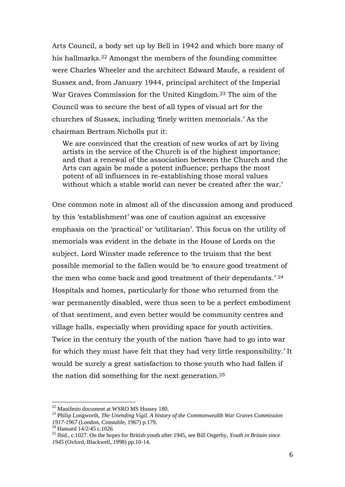Arts Council, a body set up by Bell in 1942 and which bore many of his hallmarks. <sup>22</sup> Amongst the members of the founding committee were Charles Wheeler and the architect Edward Maufe, a resident of Sussex and, from January 1944, principal architect of the Imperial War Graves Commission for the United Kingdom.<sup>23</sup> The aim of the Council was to secure the best of all types of visual art for the churches of Sussex, including "finely written memorials." As the chairman Bertram Nicholls put it:

We are convinced that the creation of new works of art by living artists in the service of the Church is of the highest importance; and that a renewal of the association between the Church and the Arts can again be made a potent influence; perhaps the most potent of all influences in re-establishing those moral values without which a stable world can never be created after the war.'

One common note in almost all of the discussion among and produced by this "establishment" was one of caution against an excessive emphasis on the "practical" or "utilitarian". This focus on the utility of memorials was evident in the debate in the House of Lords on the subject. Lord Winster made reference to the truism that the best possible memorial to the fallen would be "to ensure good treatment of the men who come back and good treatment of their dependants.' 24 Hospitals and homes, particularly for those who returned from the war permanently disabled, were thus seen to be a perfect embodiment of that sentiment, and even better would be community centres and village halls, especially when providing space for youth activities. Twice in the century the youth of the nation "have had to go into war for which they must have felt that they had very little responsibility." It would be surely a great satisfaction to those youth who had fallen if the nation did something for the next generation.<sup>25</sup>

<sup>22</sup> Manifesto document at WSRO MS Hussey 180.

<sup>23</sup> Philip Longworth, *The Unending Vigil. A history of the Commonwealth War Graves Commission 1917-1967* (London, Constable, 1967) p.179.

<sup>&</sup>lt;sup>24</sup> Hansard 14/2/45 c.1026

<sup>25</sup> Ibid., c.1027. On the hopes for British youth after 1945, see Bill Osgerby, *Youth in Britain since 1945* (Oxford, Blackwell, 1998) pp.10-14.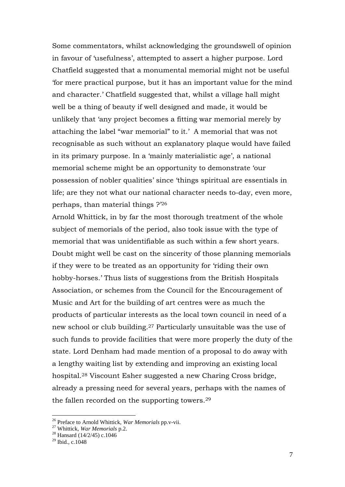Some commentators, whilst acknowledging the groundswell of opinion in favour of 'usefulness', attempted to assert a higher purpose. Lord Chatfield suggested that a monumental memorial might not be useful "for mere practical purpose, but it has an important value for the mind and character." Chatfield suggested that, whilst a village hall might well be a thing of beauty if well designed and made, it would be unlikely that "any project becomes a fitting war memorial merely by attaching the label "war memorial" to it.' A memorial that was not recognisable as such without an explanatory plaque would have failed in its primary purpose. In a 'mainly materialistic age', a national memorial scheme might be an opportunity to demonstrate "our possession of nobler qualities" since "things spiritual are essentials in life; are they not what our national character needs to-day, even more, perhaps, than material things ?"<sup>26</sup>

Arnold Whittick, in by far the most thorough treatment of the whole subject of memorials of the period, also took issue with the type of memorial that was unidentifiable as such within a few short years. Doubt might well be cast on the sincerity of those planning memorials if they were to be treated as an opportunity for "riding their own hobby-horses." Thus lists of suggestions from the British Hospitals Association, or schemes from the Council for the Encouragement of Music and Art for the building of art centres were as much the products of particular interests as the local town council in need of a new school or club building.<sup>27</sup> Particularly unsuitable was the use of such funds to provide facilities that were more properly the duty of the state. Lord Denham had made mention of a proposal to do away with a lengthy waiting list by extending and improving an existing local hospital.<sup>28</sup> Viscount Esher suggested a new Charing Cross bridge, already a pressing need for several years, perhaps with the names of the fallen recorded on the supporting towers. 29

<sup>26</sup> Preface to Arnold Whittick, *War Memorials* pp.v-vii.

<sup>27</sup> Whittick, *War Memorials* p.2.

<sup>&</sup>lt;sup>28</sup> Hansard (14/2/45) c.1046

 $29$  Ibid., c.1048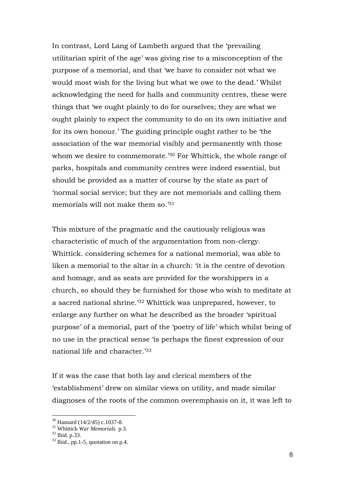In contrast, Lord Lang of Lambeth argued that the "prevailing utilitarian spirit of the age" was giving rise to a misconception of the purpose of a memorial, and that "we have to consider not what we would most wish for the living but what we owe to the dead." Whilst acknowledging the need for halls and community centres, these were things that "we ought plainly to do for ourselves; they are what we ought plainly to expect the community to do on its own initiative and for its own honour." The guiding principle ought rather to be "the association of the war memorial visibly and permanently with those whom we desire to commemorate.<sup>30</sup> For Whittick, the whole range of parks, hospitals and community centres were indeed essential, but should be provided as a matter of course by the state as part of "normal social service; but they are not memorials and calling them memorials will not make them so.<sup>31</sup>

This mixture of the pragmatic and the cautiously religious was characteristic of much of the argumentation from non-clergy. Whittick. considering schemes for a national memorial, was able to liken a memorial to the altar in a church: "it is the centre of devotion" and homage, and as seats are provided for the worshippers in a church, so should they be furnished for those who wish to meditate at a sacred national shrine."<sup>32</sup> Whittick was unprepared, however, to enlarge any further on what he described as the broader "spiritual purpose" of a memorial, part of the "poetry of life" which whilst being of no use in the practical sense "is perhaps the finest expression of our national life and character.<sup>'33</sup>

If it was the case that both lay and clerical members of the "establishment" drew on similar views on utility, and made similar diagnoses of the roots of the common overemphasis on it, it was left to

<sup>30</sup> Hansard (14/2/45) c.1037-8.

<sup>31</sup> Whittick *War Memorials* p.3.

 $32$  Ibid. p. 33.

 $33$  Ibid., pp.1-5, quotation on p.4.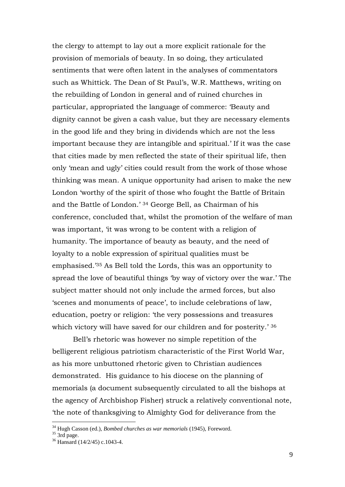the clergy to attempt to lay out a more explicit rationale for the provision of memorials of beauty. In so doing, they articulated sentiments that were often latent in the analyses of commentators such as Whittick. The Dean of St Paul"s, W.R. Matthews, writing on the rebuilding of London in general and of ruined churches in particular, appropriated the language of commerce: "Beauty and dignity cannot be given a cash value, but they are necessary elements in the good life and they bring in dividends which are not the less important because they are intangible and spiritual." If it was the case that cities made by men reflected the state of their spiritual life, then only "mean and ugly" cities could result from the work of those whose thinking was mean. A unique opportunity had arisen to make the new London "worthy of the spirit of those who fought the Battle of Britain and the Battle of London." <sup>34</sup> George Bell, as Chairman of his conference, concluded that, whilst the promotion of the welfare of man was important, 'it was wrong to be content with a religion of humanity. The importance of beauty as beauty, and the need of loyalty to a noble expression of spiritual qualities must be emphasised."<sup>35</sup> As Bell told the Lords, this was an opportunity to spread the love of beautiful things "by way of victory over the war." The subject matter should not only include the armed forces, but also 'scenes and monuments of peace', to include celebrations of law, education, poetry or religion: "the very possessions and treasures which victory will have saved for our children and for posterity.' 36

Bell"s rhetoric was however no simple repetition of the belligerent religious patriotism characteristic of the First World War, as his more unbuttoned rhetoric given to Christian audiences demonstrated. His guidance to his diocese on the planning of memorials (a document subsequently circulated to all the bishops at the agency of Archbishop Fisher) struck a relatively conventional note, "the note of thanksgiving to Almighty God for deliverance from the

<sup>34</sup> Hugh Casson (ed.), *Bombed churches as war memorials* (1945), Foreword.

 $35 \frac{114}{3}$  3rd page.

<sup>36</sup> Hansard (14/2/45) c.1043-4.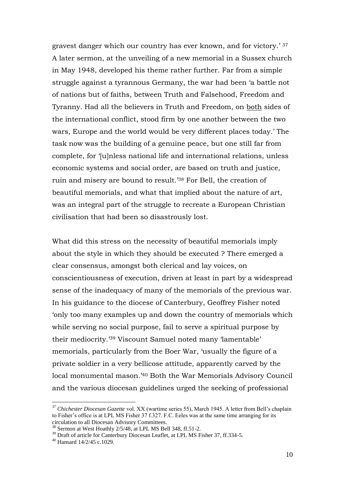gravest danger which our country has ever known, and for victory." <sup>37</sup> A later sermon, at the unveiling of a new memorial in a Sussex church in May 1948, developed his theme rather further. Far from a simple struggle against a tyrannous Germany, the war had been "a battle not of nations but of faiths, between Truth and Falsehood, Freedom and Tyranny. Had all the believers in Truth and Freedom, on both sides of the international conflict, stood firm by one another between the two wars, Europe and the world would be very different places today." The task now was the building of a genuine peace, but one still far from complete, for "[u]nless national life and international relations, unless economic systems and social order, are based on truth and justice, ruin and misery are bound to result."<sup>38</sup> For Bell, the creation of beautiful memorials, and what that implied about the nature of art, was an integral part of the struggle to recreate a European Christian civilisation that had been so disastrously lost.

What did this stress on the necessity of beautiful memorials imply about the style in which they should be executed ? There emerged a clear consensus, amongst both clerical and lay voices, on conscientiousness of execution, driven at least in part by a widespread sense of the inadequacy of many of the memorials of the previous war. In his guidance to the diocese of Canterbury, Geoffrey Fisher noted "only too many examples up and down the country of memorials which while serving no social purpose, fail to serve a spiritual purpose by their mediocrity."<sup>39</sup> Viscount Samuel noted many "lamentable" memorials, particularly from the Boer War, "usually the figure of a private soldier in a very bellicose attitude, apparently carved by the local monumental mason."<sup>40</sup> Both the War Memorials Advisory Council and the various diocesan guidelines urged the seeking of professional

<sup>37</sup> *Chichester Diocesan Gazette* vol. XX (wartime series 55), March 1945. A letter from Bell"s chaplain to Fisher's office is at LPL MS Fisher  $37 f.327$ . F.C. Eeles was at the same time arranging for its circulation to all Diocesan Advisory Committees.

<sup>&</sup>lt;sup>38</sup> Sermon at West Hoathly 2/5/48, at LPL MS Bell 348, ff.51-2.

<sup>&</sup>lt;sup>39</sup> Draft of article for Canterbury Diocesan Leaflet, at LPL MS Fisher 37, ff.334-5.

 $40$  Hansard  $14/2/45$  c.1029.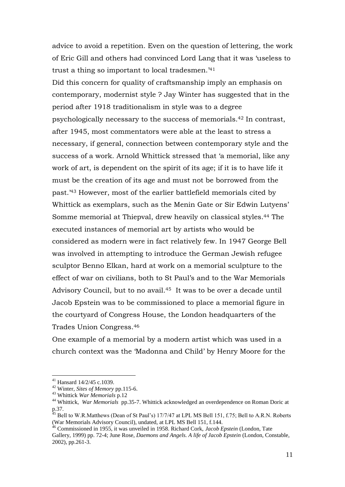advice to avoid a repetition. Even on the question of lettering, the work of Eric Gill and others had convinced Lord Lang that it was "useless to trust a thing so important to local tradesmen.<sup>41</sup>

Did this concern for quality of craftsmanship imply an emphasis on contemporary, modernist style ? Jay Winter has suggested that in the period after 1918 traditionalism in style was to a degree psychologically necessary to the success of memorials.<sup>42</sup> In contrast, after 1945, most commentators were able at the least to stress a necessary, if general, connection between contemporary style and the success of a work. Arnold Whittick stressed that "a memorial, like any work of art, is dependent on the spirit of its age; if it is to have life it must be the creation of its age and must not be borrowed from the past."<sup>43</sup> However, most of the earlier battlefield memorials cited by Whittick as exemplars, such as the Menin Gate or Sir Edwin Lutyens" Somme memorial at Thiepval, drew heavily on classical styles.<sup>44</sup> The executed instances of memorial art by artists who would be considered as modern were in fact relatively few. In 1947 George Bell was involved in attempting to introduce the German Jewish refugee sculptor Benno Elkan, hard at work on a memorial sculpture to the effect of war on civilians, both to St Paul"s and to the War Memorials Advisory Council, but to no avail.<sup>45</sup> It was to be over a decade until Jacob Epstein was to be commissioned to place a memorial figure in the courtyard of Congress House, the London headquarters of the Trades Union Congress.<sup>46</sup>

One example of a memorial by a modern artist which was used in a church context was the "Madonna and Child" by Henry Moore for the

<sup>41</sup> Hansard 14/2/45 c.1039.

<sup>42</sup> Winter, *Sites of Memory* pp.115-6.

<sup>43</sup> Whittick *War Memorials* p.12

<sup>44</sup> Whittick, *War Memorials* pp.35-7. Whittick acknowledged an overdependence on Roman Doric at  $p.37.$ 

<sup>45</sup> Bell to W.R.Matthews (Dean of St Paul"s) 17/7/47 at LPL MS Bell 151, f.75; Bell to A.R.N. Roberts (War Memorials Advisory Council), undated, at LPL MS Bell 151, f.144.

<sup>46</sup> Commissioned in 1955, it was unveiled in 1958. Richard Cork, *Jacob Epstein* (London, Tate Gallery, 1999) pp. 72-4; June Rose, *Daemons and Angels. A life of Jacob Epstein* (London, Constable, 2002), pp.261-3.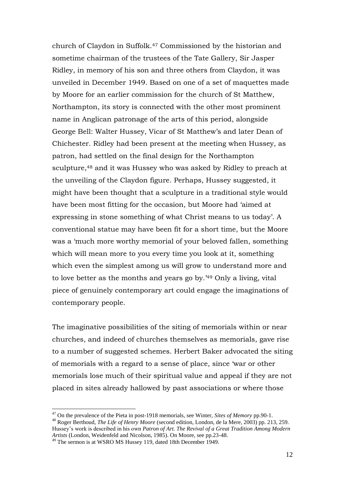church of Claydon in Suffolk.<sup>47</sup> Commissioned by the historian and sometime chairman of the trustees of the Tate Gallery, Sir Jasper Ridley, in memory of his son and three others from Claydon, it was unveiled in December 1949. Based on one of a set of maquettes made by Moore for an earlier commission for the church of St Matthew, Northampton, its story is connected with the other most prominent name in Anglican patronage of the arts of this period, alongside George Bell: Walter Hussey, Vicar of St Matthew"s and later Dean of Chichester. Ridley had been present at the meeting when Hussey, as patron, had settled on the final design for the Northampton sculpture, <sup>48</sup> and it was Hussey who was asked by Ridley to preach at the unveiling of the Claydon figure. Perhaps, Hussey suggested, it might have been thought that a sculpture in a traditional style would have been most fitting for the occasion, but Moore had "aimed at expressing in stone something of what Christ means to us today". A conventional statue may have been fit for a short time, but the Moore was a "much more worthy memorial of your beloved fallen, something which will mean more to you every time you look at it, something which even the simplest among us will grow to understand more and to love better as the months and years go by." <sup>49</sup> Only a living, vital piece of genuinely contemporary art could engage the imaginations of contemporary people.

The imaginative possibilities of the siting of memorials within or near churches, and indeed of churches themselves as memorials, gave rise to a number of suggested schemes. Herbert Baker advocated the siting of memorials with a regard to a sense of place, since "war or other memorials lose much of their spiritual value and appeal if they are not placed in sites already hallowed by past associations or where those

<sup>47</sup> On the prevalence of the Pieta in post-1918 memorials, see Winter, *Sites of Memory* pp.90-1.

<sup>48</sup> Roger Berthoud, *The Life of Henry Moore* (second edition, London, de la Mere, 2003) pp. 213, 259. Hussey"s work is described in his own *Patron of Art. The Revival of a Great Tradition Among Modern Artists* (London, Weidenfeld and Nicolson, 1985). On Moore, see pp.23-48.

<sup>49</sup> The sermon is at WSRO MS Hussey 119, dated 18th December 1949.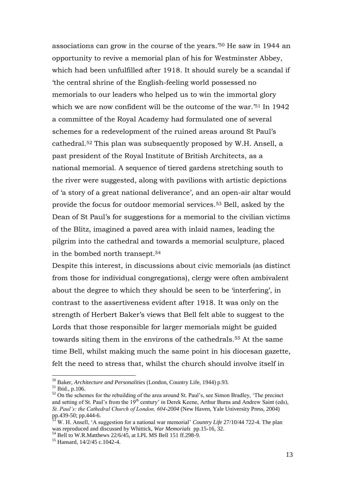associations can grow in the course of the years."<sup>50</sup> He saw in 1944 an opportunity to revive a memorial plan of his for Westminster Abbey, which had been unfulfilled after 1918. It should surely be a scandal if "the central shrine of the English-feeling world possessed no memorials to our leaders who helped us to win the immortal glory which we are now confident will be the outcome of the war.<sup>'51</sup> In 1942 a committee of the Royal Academy had formulated one of several schemes for a redevelopment of the ruined areas around St Paul"s cathedral. <sup>52</sup> This plan was subsequently proposed by W.H. Ansell, a past president of the Royal Institute of British Architects, as a national memorial. A sequence of tiered gardens stretching south to the river were suggested, along with pavilions with artistic depictions of "a story of a great national deliverance", and an open-air altar would provide the focus for outdoor memorial services.<sup>53</sup> Bell, asked by the Dean of St Paul"s for suggestions for a memorial to the civilian victims of the Blitz, imagined a paved area with inlaid names, leading the pilgrim into the cathedral and towards a memorial sculpture, placed in the bombed north transept. 54

Despite this interest, in discussions about civic memorials (as distinct from those for individual congregations), clergy were often ambivalent about the degree to which they should be seen to be "interfering", in contrast to the assertiveness evident after 1918. It was only on the strength of Herbert Baker"s views that Bell felt able to suggest to the Lords that those responsible for larger memorials might be guided towards siting them in the environs of the cathedrals.<sup>55</sup> At the same time Bell, whilst making much the same point in his diocesan gazette, felt the need to stress that, whilst the church should involve itself in

<sup>50</sup> Baker, *Architecture and Personalities* (London, Country Life, 1944) p.93.

<sup>51</sup> Ibid., p.106.

 $52$  On the schemes for the rebuilding of the area around St. Paul's, see Simon Bradley, 'The precinct and setting of St. Paul's from the 19<sup>th</sup> century' in Derek Keene, Arthur Burns and Andrew Saint (eds), *St. Paul's: the Cathedral Church of London, 604-2004* (New Haven, Yale University Press, 2004) pp.439-50; pp.444-6.

<sup>53</sup> W. H. Ansell, "A suggestion for a national war memorial" *Country Life* 27/10/44 722-4. The plan was reproduced and discussed by Whittick, *War Memorials* pp.15-16, 32.

 $^{54}$  Bell to W.R.Matthews 22/6/45, at LPL MS Bell 151 ff.298-9.

<sup>55</sup> Hansard, 14/2/45 c.1042-4.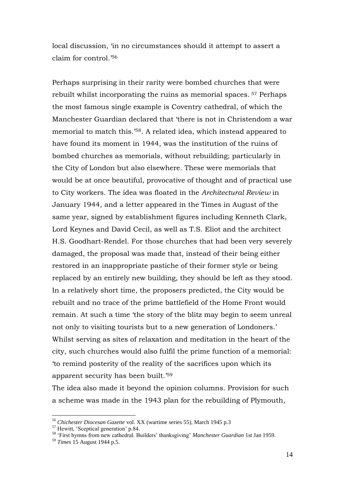local discussion, "in no circumstances should it attempt to assert a claim for control."<sup>56</sup>

Perhaps surprising in their rarity were bombed churches that were rebuilt whilst incorporating the ruins as memorial spaces. <sup>57</sup> Perhaps the most famous single example is Coventry cathedral, of which the Manchester Guardian declared that "there is not in Christendom a war memorial to match this." <sup>58</sup>. A related idea, which instead appeared to have found its moment in 1944, was the institution of the ruins of bombed churches as memorials, without rebuilding; particularly in the City of London but also elsewhere. These were memorials that would be at once beautiful, provocative of thought and of practical use to City workers. The idea was floated in the *Architectural Review* in January 1944, and a letter appeared in the Times in August of the same year, signed by establishment figures including Kenneth Clark, Lord Keynes and David Cecil, as well as T.S. Eliot and the architect H.S. Goodhart-Rendel. For those churches that had been very severely damaged, the proposal was made that, instead of their being either restored in an inappropriate pastiche of their former style or being replaced by an entirely new building, they should be left as they stood. In a relatively short time, the proposers predicted, the City would be rebuilt and no trace of the prime battlefield of the Home Front would remain. At such a time "the story of the blitz may begin to seem unreal not only to visiting tourists but to a new generation of Londoners." Whilst serving as sites of relaxation and meditation in the heart of the city, such churches would also fulfil the prime function of a memorial: "to remind posterity of the reality of the sacrifices upon which its apparent security has been built."<sup>59</sup>

The idea also made it beyond the opinion columns. Provision for such a scheme was made in the 1943 plan for the rebuilding of Plymouth,

<sup>56</sup> *Chichester Diocesan Gazette* vol. XX (wartime series 55), March 1945 p.3

<sup>&</sup>lt;sup>57</sup> Hewitt, 'Sceptical generation' p.84.

<sup>58</sup> "First hymns from new cathedral. Builders" thanksgiving" *Manchester Guardian* 1st Jan 1959.

<sup>59</sup> *Times* 15 August 1944 p.5.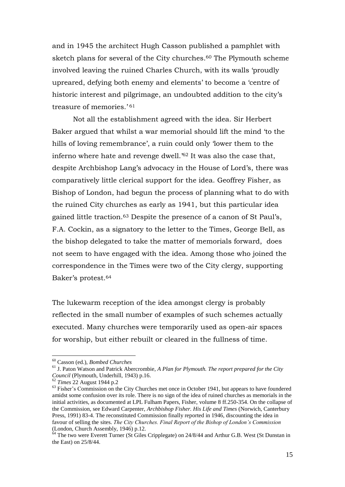and in 1945 the architect Hugh Casson published a pamphlet with sketch plans for several of the City churches.<sup>60</sup> The Plymouth scheme involved leaving the ruined Charles Church, with its walls "proudly upreared, defying both enemy and elements" to become a "centre of historic interest and pilgrimage, an undoubted addition to the city"s treasure of memories.'<sup>61</sup>

Not all the establishment agreed with the idea. Sir Herbert Baker argued that whilst a war memorial should lift the mind "to the hills of loving remembrance', a ruin could only 'lower them to the inferno where hate and revenge dwell.<sup>'62</sup> It was also the case that, despite Archbishop Lang's advocacy in the House of Lord's, there was comparatively little clerical support for the idea. Geoffrey Fisher, as Bishop of London, had begun the process of planning what to do with the ruined City churches as early as 1941, but this particular idea gained little traction.<sup>63</sup> Despite the presence of a canon of St Paul"s, F.A. Cockin, as a signatory to the letter to the Times, George Bell, as the bishop delegated to take the matter of memorials forward, does not seem to have engaged with the idea. Among those who joined the correspondence in the Times were two of the City clergy, supporting Baker's protest.<sup>64</sup>

The lukewarm reception of the idea amongst clergy is probably reflected in the small number of examples of such schemes actually executed. Many churches were temporarily used as open-air spaces for worship, but either rebuilt or cleared in the fullness of time.

<sup>60</sup> Casson (ed.), *Bombed Churches*

<sup>61</sup> J. Paton Watson and Patrick Abercrombie, *A Plan for Plymouth. The report prepared for the City Council* (Plymouth, Underhill, 1943) p.16.

<sup>62</sup> *Times* 22 August 1944 p.2

<sup>&</sup>lt;sup>63</sup> Fisher's Commission on the City Churches met once in October 1941, but appears to have foundered amidst some confusion over its role. There is no sign of the idea of ruined churches as memorials in the initial activities, as documented at LPL Fulham Papers, Fisher, volume 8 ff.250-354. On the collapse of the Commission, see Edward Carpenter, *Archbishop Fisher. His Life and Times* (Norwich, Canterbury Press, 1991) 83-4. The reconstituted Commission finally reported in 1946, discounting the idea in favour of selling the sites. *The City Churches. Final Report of the Bishop of London's Commission* (London, Church Assembly, 1946) p.12.

 $64$  The two were Everett Turner (St Giles Cripplegate) on 24/8/44 and Arthur G.B. West (St Dunstan in the East) on 25/8/44.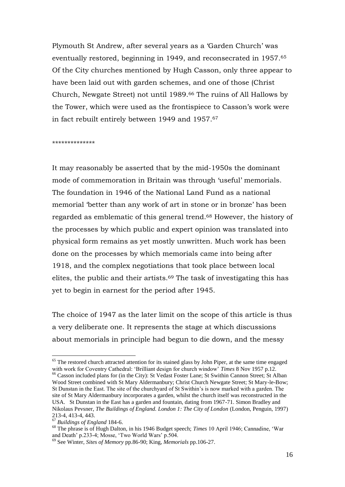Plymouth St Andrew, after several years as a "Garden Church" was eventually restored, beginning in 1949, and reconsecrated in 1957.<sup>65</sup> Of the City churches mentioned by Hugh Casson, only three appear to have been laid out with garden schemes, and one of those (Christ Church, Newgate Street) not until 1989.<sup>66</sup> The ruins of All Hallows by the Tower, which were used as the frontispiece to Casson"s work were in fact rebuilt entirely between 1949 and 1957.<sup>67</sup>

\*\*\*\*\*\*\*\*\*\*\*\*\*\*

It may reasonably be asserted that by the mid-1950s the dominant mode of commemoration in Britain was through 'useful' memorials. The foundation in 1946 of the National Land Fund as a national memorial "better than any work of art in stone or in bronze" has been regarded as emblematic of this general trend. <sup>68</sup> However, the history of the processes by which public and expert opinion was translated into physical form remains as yet mostly unwritten. Much work has been done on the processes by which memorials came into being after 1918, and the complex negotiations that took place between local elites, the public and their artists.<sup>69</sup> The task of investigating this has yet to begin in earnest for the period after 1945.

The choice of 1947 as the later limit on the scope of this article is thus a very deliberate one. It represents the stage at which discussions about memorials in principle had begun to die down, and the messy

<sup>&</sup>lt;sup>65</sup> The restored church attracted attention for its stained glass by John Piper, at the same time engaged with work for Coventry Cathedral: "Brilliant design for church window" *Times* 8 Nov 1957 p.12.

<sup>&</sup>lt;sup>66</sup> Casson included plans for (in the City): St Vedast Foster Lane; St Swithin Cannon Street; St Alban Wood Street combined with St Mary Aldermanbury; Christ Church Newgate Street; St Mary-le-Bow; St Dunstan in the East. The site of the churchyard of St Swithin's is now marked with a garden. The site of St Mary Aldermanbury incorporates a garden, whilst the church itself was reconstructed in the USA. St Dunstan in the East has a garden and fountain, dating from 1967-71. Simon Bradley and Nikolaus Pevsner, *The Buildings of England. London 1: The City of London* (London, Penguin, 1997) 213-4, 413-4, 443.

<sup>67</sup> *Buildings of England* 184-6.

<sup>&</sup>lt;sup>68</sup> The phrase is of Hugh Dalton, in his 1946 Budget speech; *Times* 10 April 1946; Cannadine, 'War and Death" p.233-4; Mosse, "Two World Wars" p.504.

<sup>69</sup> See Winter, *Sites of Memory* pp.86-90; King, *Memorials* pp.106-27.